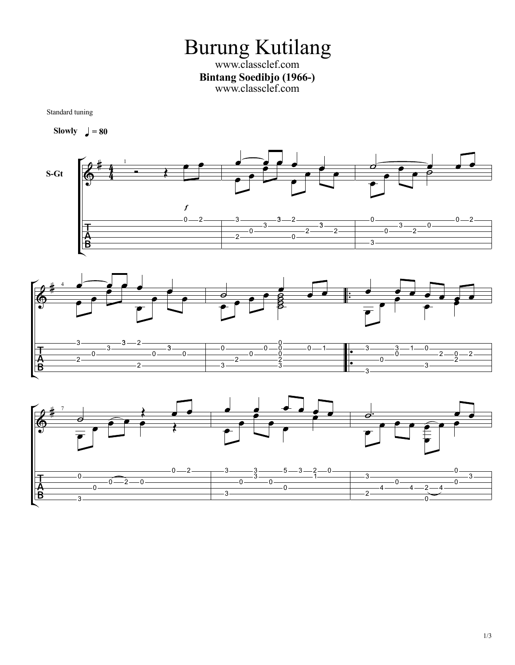Burung Kutilang

www.classclef.com **Bintang Soedibjo (1966-)** www.classclef.com

Standard tuning







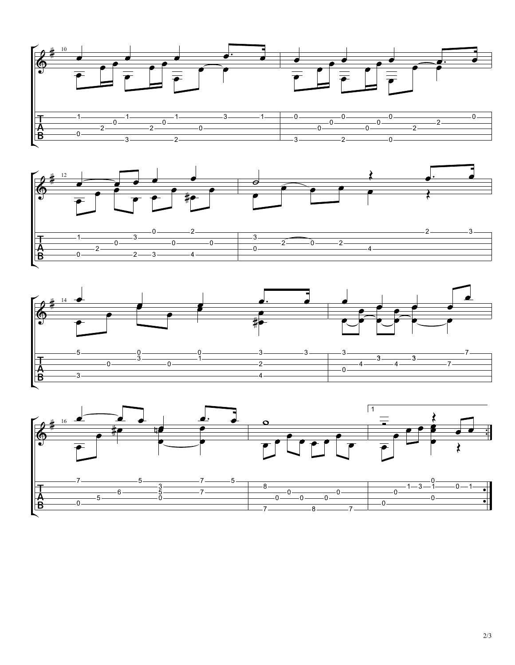